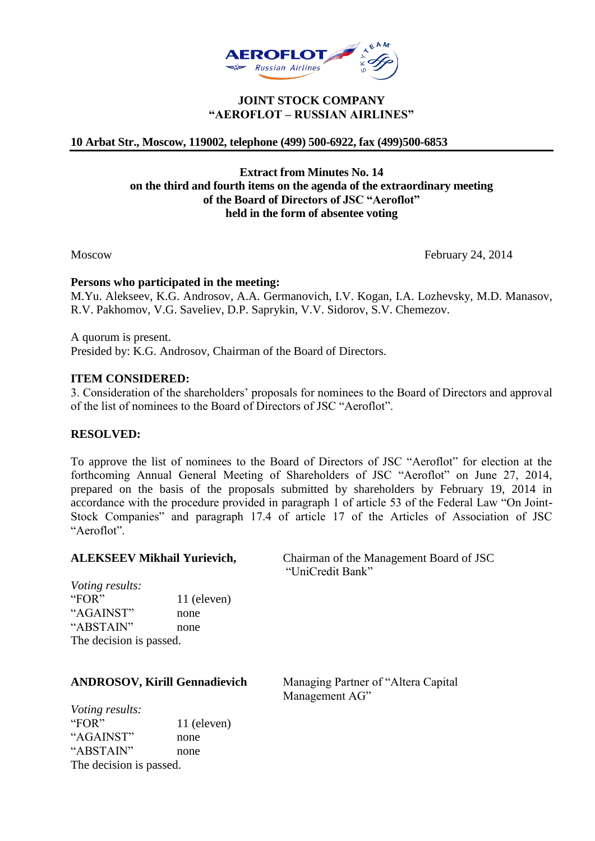

## **JOINT STOCK COMPANY "AEROFLOT – RUSSIAN AIRLINES"**

# **10 Arbat Str., Moscow, 119002, telephone (499) 500-6922, fax (499)500-6853**

# **Extract from Minutes No. 14 on the third and fourth items on the agenda of the extraordinary meeting of the Board of Directors of JSC "Aeroflot" held in the form of absentee voting**

Moscow February 24, 2014

### **Persons who participated in the meeting:**

M.Yu. Alekseev, K.G. Androsov, A.A. Germanovich, I.V. Kogan, I.A. Lozhevsky, M.D. Manasov, R.V. Pakhomov, V.G. Saveliev, D.P. Saprykin, V.V. Sidorov, S.V. Chemezov.

A quorum is present. Presided by: K.G. Androsov, Chairman of the Board of Directors.

### **ITEM CONSIDERED:**

3. Consideration of the shareholders' proposals for nominees to the Board of Directors and approval of the list of nominees to the Board of Directors of JSC "Aeroflot".

## **RESOLVED:**

To approve the list of nominees to the Board of Directors of JSC "Aeroflot" for election at the forthcoming Annual General Meeting of Shareholders of JSC "Aeroflot" on June 27, 2014, prepared on the basis of the proposals submitted by shareholders by February 19, 2014 in accordance with the procedure provided in paragraph 1 of article 53 of the Federal Law "On Joint-Stock Companies" and paragraph 17.4 of article 17 of the Articles of Association of JSC "Aeroflot".

**ALEKSEEV Mikhail Yurievich,** Chairman of the Management Board of JSC "UniCredit Bank"

*Voting results:* "FOR" 11 (eleven) "AGAINST" none "ABSTAIN" none The decision is passed.

## **ANDROSOV, Kirill Gennadievich** Managing Partner of "Altera Capital

Management AG"

*Voting results:* "FOR" 11 (eleven) "AGAINST" none "ABSTAIN" none The decision is passed.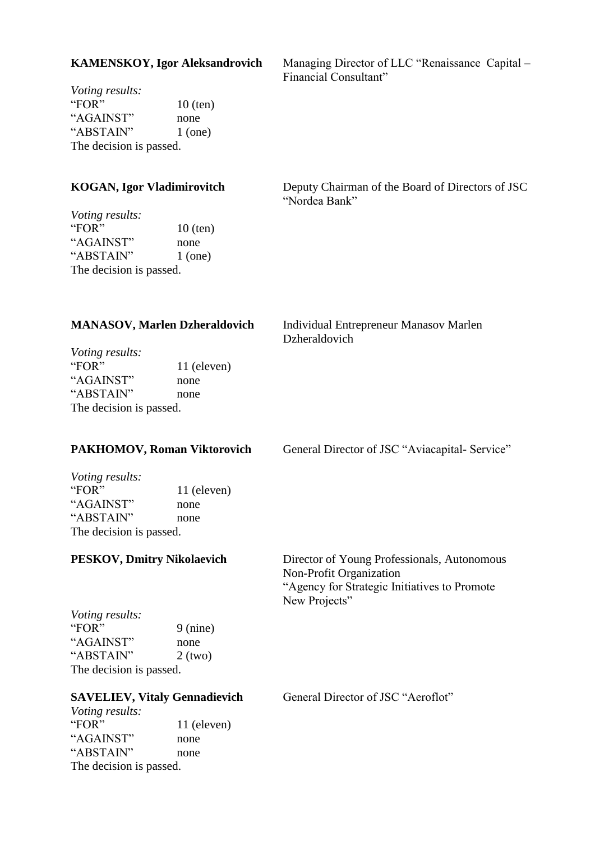| <b>KAMENSKOY, Igor Aleksandrovich</b>                                                                                        |                                 | Managing Director of LLC "Renaissance Capital -<br>Financial Consultant"                                                                |
|------------------------------------------------------------------------------------------------------------------------------|---------------------------------|-----------------------------------------------------------------------------------------------------------------------------------------|
| Voting results:<br>"FOR"<br>"AGAINST"<br>"ABSTAIN"<br>The decision is passed.                                                | $10$ (ten)<br>none<br>$1$ (one) |                                                                                                                                         |
| <b>KOGAN, Igor Vladimirovitch</b>                                                                                            |                                 | Deputy Chairman of the Board of Directors of JSC<br>"Nordea Bank"                                                                       |
| Voting results:<br>"FOR"<br>"AGAINST"<br>"ABSTAIN"<br>The decision is passed.                                                | $10$ (ten)<br>none<br>$1$ (one) |                                                                                                                                         |
| <b>MANASOV, Marlen Dzheraldovich</b>                                                                                         |                                 | Individual Entrepreneur Manasov Marlen<br>Dzheraldovich                                                                                 |
| Voting results:<br>"FOR"<br>"AGAINST"<br>"ABSTAIN"<br>The decision is passed.                                                | 11 (eleven)<br>none<br>none     |                                                                                                                                         |
| <b>PAKHOMOV, Roman Viktorovich</b>                                                                                           |                                 | General Director of JSC "Aviacapital- Service"                                                                                          |
| <i>Voting results:</i><br>"FOR"<br>"AGAINST"<br>"ABSTAIN"<br>The decision is passed.                                         | 11 (eleven)<br>none<br>none     |                                                                                                                                         |
| <b>PESKOV, Dmitry Nikolaevich</b>                                                                                            |                                 | Director of Young Professionals, Autonomous<br>Non-Profit Organization<br>"Agency for Strategic Initiatives to Promote<br>New Projects" |
| <i>Voting results:</i><br>"FOR"<br>"AGAINST"<br>"ABSTAIN"<br>The decision is passed.                                         | $9$ (nine)<br>none<br>$2$ (two) |                                                                                                                                         |
| <b>SAVELIEV, Vitaly Gennadievich</b><br><i>Voting results:</i><br>"FOR"<br>"AGAINST"<br>"ABSTAIN"<br>The decision is passed. | 11 (eleven)<br>none<br>none     | General Director of JSC "Aeroflot"                                                                                                      |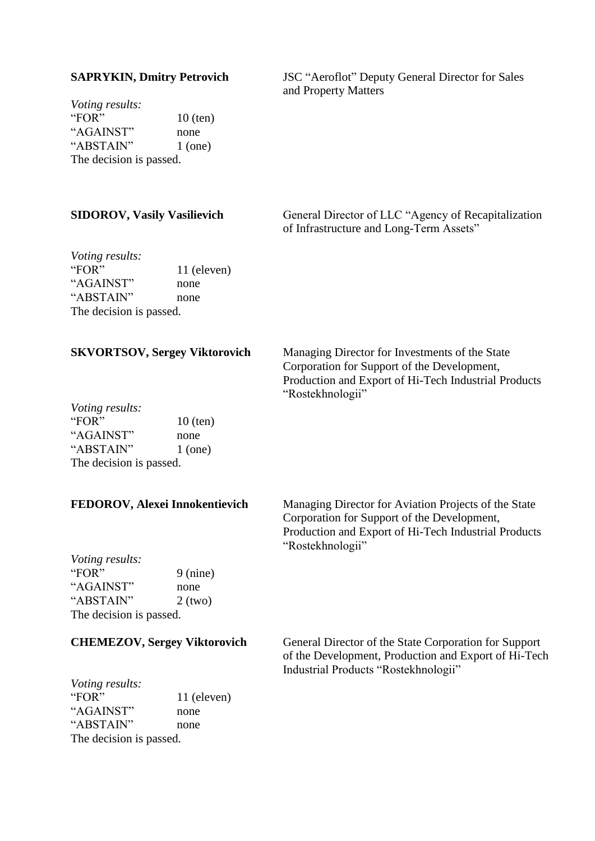*Voting results:* "FOR"  $10$  (ten) "AGAINST" none "ABSTAIN" 1 (one) The decision is passed.

**SAPRYKIN, Dmitry Petrovich** JSC "Aeroflot" Deputy General Director for Sales and Property Matters

| <b>SIDOROV, Vasily Vasilievich</b>                                                   |                                 | General Director of LLC "Agency of Recapitalization<br>of Infrastructure and Long-Term Assets"                                                                                  |
|--------------------------------------------------------------------------------------|---------------------------------|---------------------------------------------------------------------------------------------------------------------------------------------------------------------------------|
| Voting results:<br>"FOR"<br>"AGAINST"<br>"ABSTAIN"<br>The decision is passed.        | 11 (eleven)<br>none<br>none     |                                                                                                                                                                                 |
| <b>SKVORTSOV, Sergey Viktorovich</b>                                                 |                                 | Managing Director for Investments of the State<br>Corporation for Support of the Development,<br>Production and Export of Hi-Tech Industrial Products<br>"Rostekhnologii"       |
| <i>Voting results:</i><br>"FOR"<br>"AGAINST"<br>"ABSTAIN"<br>The decision is passed. | $10$ (ten)<br>none<br>$1$ (one) |                                                                                                                                                                                 |
| FEDOROV, Alexei Innokentievich                                                       |                                 | Managing Director for Aviation Projects of the State<br>Corporation for Support of the Development,<br>Production and Export of Hi-Tech Industrial Products<br>"Rostekhnologii" |
| Voting results:<br>"FOR"<br>"AGAINST"<br>"ABSTAIN"<br>The decision is passed.        | $9$ (nine)<br>none<br>$2$ (two) |                                                                                                                                                                                 |
| <b>CHEMEZOV, Sergey Viktorovich</b>                                                  |                                 | General Director of the State Corporation for Support<br>of the Development, Production and Export of Hi-Tecl<br>Industrial Products "Rostekhnologii"                           |

*Voting results:*  $11$  (eleven) "AGAINST" none "ABSTAIN" none The decision is passed.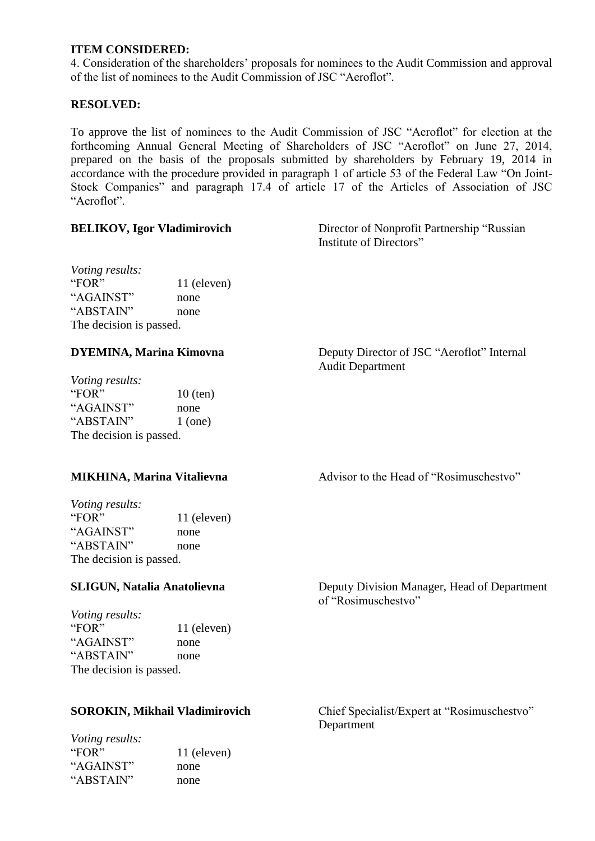# **ITEM CONSIDERED:**

4. Consideration of the shareholders' proposals for nominees to the Audit Commission and approval of the list of nominees to the Audit Commission of JSC "Aeroflot".

# **RESOLVED:**

To approve the list of nominees to the Audit Commission of JSC "Aeroflot" for election at the forthcoming Annual General Meeting of Shareholders of JSC "Aeroflot" on June 27, 2014, prepared on the basis of the proposals submitted by shareholders by February 19, 2014 in accordance with the procedure provided in paragraph 1 of article 53 of the Federal Law "On Joint-Stock Companies" and paragraph 17.4 of article 17 of the Articles of Association of JSC "Aeroflot".

**BELIKOV, Igor Vladimirovich** Director of Nonprofit Partnership "Russian Institute of Directors"

*Voting results:* "FOR" 11 (eleven) "AGAINST" none "ABSTAIN" none The decision is passed.

*Voting results:* "FOR"  $10$  (ten) "AGAINST" none " $ABSTAIN"$  1 (one) The decision is passed.

*Voting results:* "FOR" 11 (eleven) "AGAINST" none "ABSTAIN" none The decision is passed.

*Voting results:* "FOR" 11 (eleven) "AGAINST" none "ABSTAIN" none The decision is passed.

*Voting results:* "FOR" 11 (eleven) "AGAINST" none "ABSTAIN" none

**DYEMINA, Marina Kimovna** Deputy Director of JSC "Aeroflot" Internal Audit Department

**MIKHINA, Marina Vitalievna Advisor to the Head of "Rosimuschestvo"** 

**SLIGUN, Natalia Anatolievna** Deputy Division Manager, Head of Department of "Rosimuschestvo"

**SOROKIN, Mikhail Vladimirovich** Chief Specialist/Expert at "Rosimuschestvo" Department